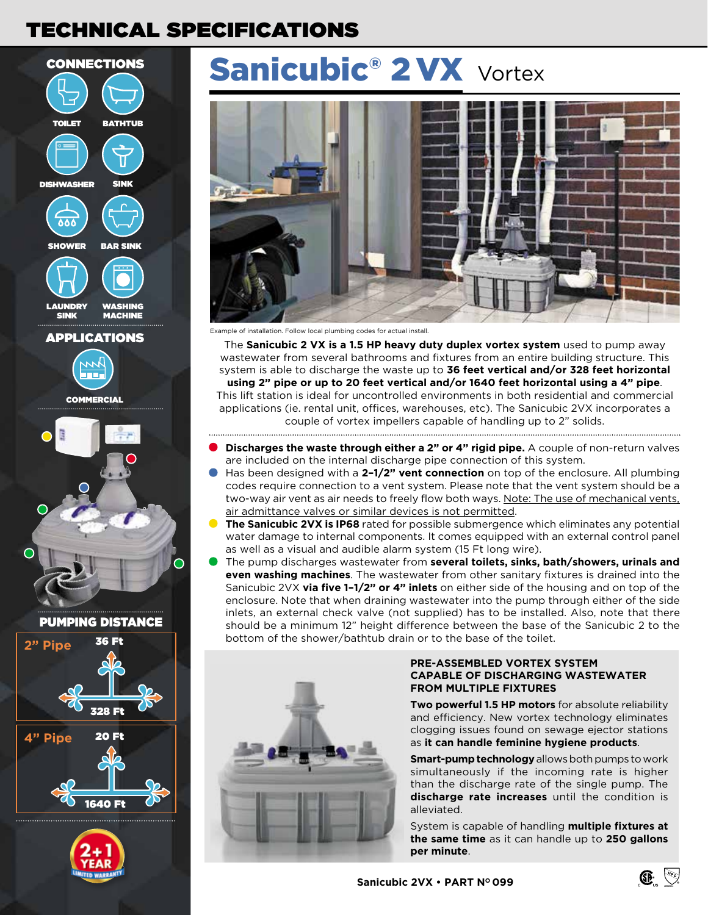## TECHNICAL SPECIFICATIONS







# Sanicubic<sup>®</sup> 2 VX <sub>Vortex</sub>



Example of installation. Follow local plumbing codes for actual install.

The **Sanicubic 2 VX is a 1.5 HP heavy duty duplex vortex system** used to pump away wastewater from several bathrooms and fixtures from an entire building structure. This system is able to discharge the waste up to **36 feet vertical and/or 328 feet horizontal using 2" pipe or up to 20 feet vertical and/or 1640 feet horizontal using a 4" pipe**.

This lift station is ideal for uncontrolled environments in both residential and commercial applications (ie. rental unit, offices, warehouses, etc). The Sanicubic 2VX incorporates a couple of vortex impellers capable of handling up to 2" solids. 

- **Discharges the waste through either a 2" or 4" rigid pipe.** A couple of non-return valves are included on the internal discharge pipe connection of this system.
- Has been designed with a **2–1/2" vent connection** on top of the enclosure. All plumbing codes require connection to a vent system. Please note that the vent system should be a two-way air vent as air needs to freely flow both ways. Note: The use of mechanical vents, air admittance valves or similar devices is not permitted.
- **The Sanicubic 2VX is IP68** rated for possible submergence which eliminates any potential water damage to internal components. It comes equipped with an external control panel as well as a visual and audible alarm system (15 Ft long wire).
- The pump discharges wastewater from **several toilets, sinks, bath/showers, urinals and even washing machines**. The wastewater from other sanitary fixtures is drained into the Sanicubic 2VX **via five 1–1/2" or 4" inlets** on either side of the housing and on top of the enclosure. Note that when draining wastewater into the pump through either of the side inlets, an external check valve (not supplied) has to be installed. Also, note that there should be a minimum 12" height difference between the base of the Sanicubic 2 to the bottom of the shower/bathtub drain or to the base of the toilet.



#### **PRE-ASSEMBLED VORTEX SYSTEM CAPABLE OF DISCHARGING WASTEWATER FROM MULTIPLE FIXTURES**

**Two powerful 1.5 HP motors** for absolute reliability and efficiency. New vortex technology eliminates clogging issues found on sewage ejector stations as **it can handle feminine hygiene products**.

**Smart-pump technology** allows both pumps to work simultaneously if the incoming rate is higher than the discharge rate of the single pump. The **discharge rate increases** until the condition is alleviated.

System is capable of handling **multiple fixtures at the same time** as it can handle up to **250 gallons per minute**.

ASME A112.3.4

**GP** ्जु